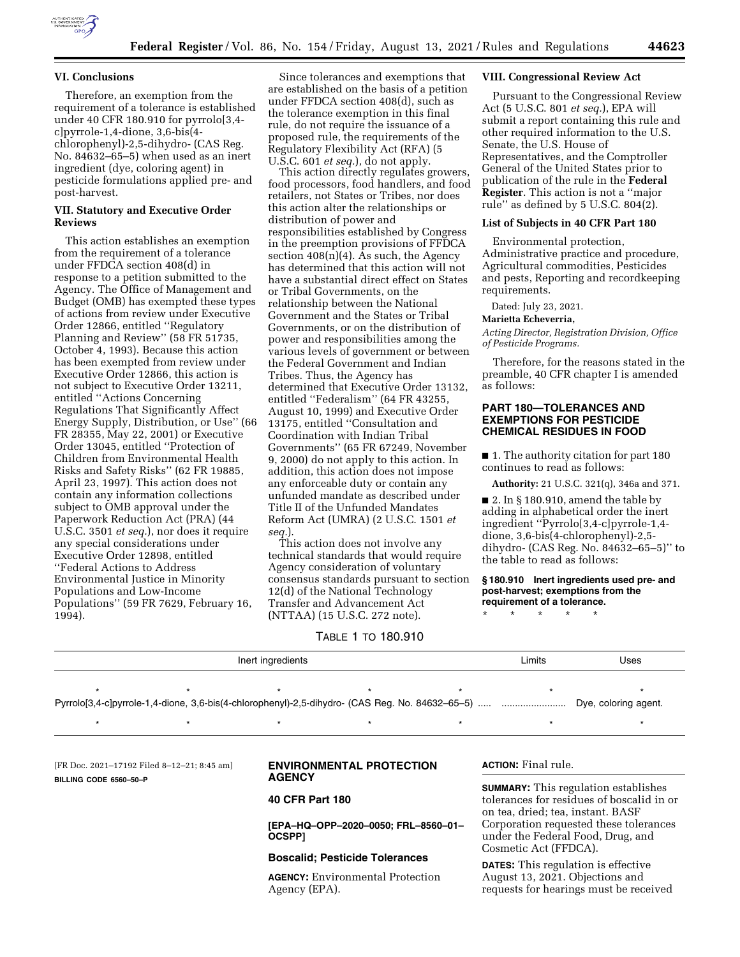

## **VI. Conclusions**

Therefore, an exemption from the requirement of a tolerance is established under 40 CFR 180.910 for pyrrolo[3,4 c]pyrrole-1,4-dione, 3,6-bis(4 chlorophenyl)-2,5-dihydro- (CAS Reg. No. 84632–65–5) when used as an inert ingredient (dye, coloring agent) in pesticide formulations applied pre- and post-harvest.

## **VII. Statutory and Executive Order Reviews**

This action establishes an exemption from the requirement of a tolerance under FFDCA section 408(d) in response to a petition submitted to the Agency. The Office of Management and Budget (OMB) has exempted these types of actions from review under Executive Order 12866, entitled ''Regulatory Planning and Review'' (58 FR 51735, October 4, 1993). Because this action has been exempted from review under Executive Order 12866, this action is not subject to Executive Order 13211, entitled ''Actions Concerning Regulations That Significantly Affect Energy Supply, Distribution, or Use'' (66 FR 28355, May 22, 2001) or Executive Order 13045, entitled ''Protection of Children from Environmental Health Risks and Safety Risks'' (62 FR 19885, April 23, 1997). This action does not contain any information collections subject to OMB approval under the Paperwork Reduction Act (PRA) (44 U.S.C. 3501 *et seq.*), nor does it require any special considerations under Executive Order 12898, entitled ''Federal Actions to Address Environmental Justice in Minority Populations and Low-Income Populations'' (59 FR 7629, February 16, 1994).

Since tolerances and exemptions that are established on the basis of a petition under FFDCA section 408(d), such as the tolerance exemption in this final rule, do not require the issuance of a proposed rule, the requirements of the Regulatory Flexibility Act (RFA) (5 U.S.C. 601 *et seq.*), do not apply.

This action directly regulates growers, food processors, food handlers, and food retailers, not States or Tribes, nor does this action alter the relationships or distribution of power and responsibilities established by Congress in the preemption provisions of FFDCA section  $408(n)(4)$ . As such, the Agency has determined that this action will not have a substantial direct effect on States or Tribal Governments, on the relationship between the National Government and the States or Tribal Governments, or on the distribution of power and responsibilities among the various levels of government or between the Federal Government and Indian Tribes. Thus, the Agency has determined that Executive Order 13132, entitled ''Federalism'' (64 FR 43255, August 10, 1999) and Executive Order 13175, entitled ''Consultation and Coordination with Indian Tribal Governments'' (65 FR 67249, November 9, 2000) do not apply to this action. In addition, this action does not impose any enforceable duty or contain any unfunded mandate as described under Title II of the Unfunded Mandates Reform Act (UMRA) (2 U.S.C. 1501 *et seq.*).

This action does not involve any technical standards that would require Agency consideration of voluntary consensus standards pursuant to section 12(d) of the National Technology Transfer and Advancement Act (NTTAA) (15 U.S.C. 272 note).

### TABLE 1 TO 180.910

#### **VIII. Congressional Review Act**

Pursuant to the Congressional Review Act (5 U.S.C. 801 *et seq.*), EPA will submit a report containing this rule and other required information to the U.S. Senate, the U.S. House of Representatives, and the Comptroller General of the United States prior to publication of the rule in the **Federal Register**. This action is not a ''major rule'' as defined by 5 U.S.C. 804(2).

## **List of Subjects in 40 CFR Part 180**

Environmental protection, Administrative practice and procedure, Agricultural commodities, Pesticides and pests, Reporting and recordkeeping requirements.

Dated: July 23, 2021.

### **Marietta Echeverria,**

*Acting Director, Registration Division, Office of Pesticide Programs.* 

Therefore, for the reasons stated in the preamble, 40 CFR chapter I is amended as follows:

## **PART 180—TOLERANCES AND EXEMPTIONS FOR PESTICIDE CHEMICAL RESIDUES IN FOOD**

■ 1. The authority citation for part 180 continues to read as follows:

**Authority:** 21 U.S.C. 321(q), 346a and 371.

 $\blacksquare$  2. In § 180.910, amend the table by adding in alphabetical order the inert ingredient ''Pyrrolo[3,4-c]pyrrole-1,4 dione, 3,6-bis(4-chlorophenyl)-2,5 dihydro- (CAS Reg. No. 84632–65–5)'' to the table to read as follows:

#### **§ 180.910 Inert ingredients used pre- and post-harvest; exemptions from the requirement of a tolerance.**

\* \* \* \* \*

| Inert ingredients |  |  |  |  | ∟imits | Uses                 |
|-------------------|--|--|--|--|--------|----------------------|
|                   |  |  |  |  |        |                      |
|                   |  |  |  |  |        | Dye, coloring agent. |
|                   |  |  |  |  |        |                      |

[FR Doc. 2021–17192 Filed 8–12–21; 8:45 am] **BILLING CODE 6560–50–P** 

## **ENVIRONMENTAL PROTECTION AGENCY**

#### **40 CFR Part 180**

**[EPA–HQ–OPP–2020–0050; FRL–8560–01– OCSPP]** 

### **Boscalid; Pesticide Tolerances**

**AGENCY:** Environmental Protection Agency (EPA).

**ACTION:** Final rule.

**SUMMARY:** This regulation establishes tolerances for residues of boscalid in or on tea, dried; tea, instant. BASF Corporation requested these tolerances under the Federal Food, Drug, and Cosmetic Act (FFDCA).

**DATES:** This regulation is effective August 13, 2021. Objections and requests for hearings must be received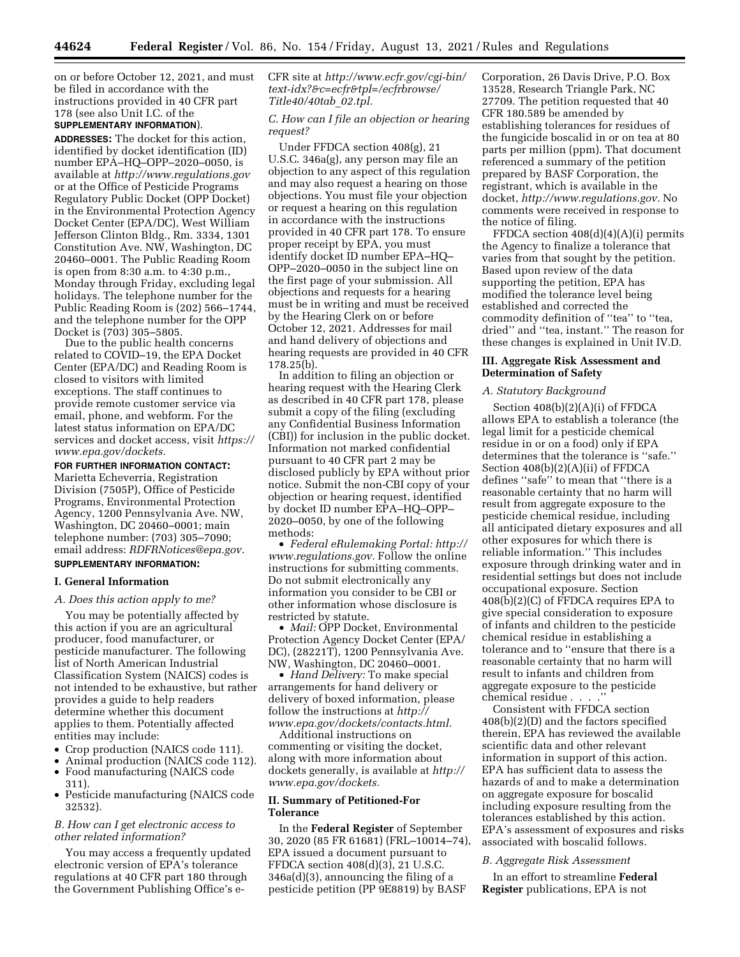on or before October 12, 2021, and must be filed in accordance with the instructions provided in 40 CFR part 178 (see also Unit I.C. of the

# **SUPPLEMENTARY INFORMATION**).

**ADDRESSES:** The docket for this action, identified by docket identification (ID) number EPA–HQ–OPP–2020–0050, is available at *<http://www.regulations.gov>* or at the Office of Pesticide Programs Regulatory Public Docket (OPP Docket) in the Environmental Protection Agency Docket Center (EPA/DC), West William Jefferson Clinton Bldg., Rm. 3334, 1301 Constitution Ave. NW, Washington, DC 20460–0001. The Public Reading Room is open from 8:30 a.m. to 4:30 p.m., Monday through Friday, excluding legal holidays. The telephone number for the Public Reading Room is (202) 566–1744, and the telephone number for the OPP Docket is (703) 305–5805.

Due to the public health concerns related to COVID–19, the EPA Docket Center (EPA/DC) and Reading Room is closed to visitors with limited exceptions. The staff continues to provide remote customer service via email, phone, and webform. For the latest status information on EPA/DC services and docket access, visit *[https://](https://www.epa.gov/dockets) [www.epa.gov/dockets.](https://www.epa.gov/dockets)* 

**FOR FURTHER INFORMATION CONTACT:**  Marietta Echeverria, Registration Division (7505P), Office of Pesticide Programs, Environmental Protection Agency, 1200 Pennsylvania Ave. NW, Washington, DC 20460–0001; main telephone number: (703) 305–7090; email address: *[RDFRNotices@epa.gov.](mailto:RDFRNotices@epa.gov)*  **SUPPLEMENTARY INFORMATION:** 

### **I. General Information**

#### *A. Does this action apply to me?*

You may be potentially affected by this action if you are an agricultural producer, food manufacturer, or pesticide manufacturer. The following list of North American Industrial Classification System (NAICS) codes is not intended to be exhaustive, but rather provides a guide to help readers determine whether this document applies to them. Potentially affected entities may include:

- Crop production (NAICS code 111).
- Animal production (NAICS code 112).
- Food manufacturing (NAICS code 311).
- Pesticide manufacturing (NAICS code 32532).

## *B. How can I get electronic access to other related information?*

You may access a frequently updated electronic version of EPA's tolerance regulations at 40 CFR part 180 through the Government Publishing Office's eCFR site at *[http://www.ecfr.gov/cgi-bin/](http://www.ecfr.gov/cgi-bin/text-idx?&c=ecfr&tpl=/ecfrbrowse/Title40/40tab_02.tpl)  [text-idx?&c=ecfr&tpl=/ecfrbrowse/](http://www.ecfr.gov/cgi-bin/text-idx?&c=ecfr&tpl=/ecfrbrowse/Title40/40tab_02.tpl) [Title40/40tab](http://www.ecfr.gov/cgi-bin/text-idx?&c=ecfr&tpl=/ecfrbrowse/Title40/40tab_02.tpl)*\_*02.tpl.* 

#### *C. How can I file an objection or hearing request?*

Under FFDCA section 408(g), 21 U.S.C. 346a(g), any person may file an objection to any aspect of this regulation and may also request a hearing on those objections. You must file your objection or request a hearing on this regulation in accordance with the instructions provided in 40 CFR part 178. To ensure proper receipt by EPA, you must identify docket ID number EPA–HQ– OPP–2020–0050 in the subject line on the first page of your submission. All objections and requests for a hearing must be in writing and must be received by the Hearing Clerk on or before October 12, 2021. Addresses for mail and hand delivery of objections and hearing requests are provided in 40 CFR 178.25(b).

In addition to filing an objection or hearing request with the Hearing Clerk as described in 40 CFR part 178, please submit a copy of the filing (excluding any Confidential Business Information (CBI)) for inclusion in the public docket. Information not marked confidential pursuant to 40 CFR part 2 may be disclosed publicly by EPA without prior notice. Submit the non-CBI copy of your objection or hearing request, identified by docket ID number EPA–HQ–OPP– 2020–0050, by one of the following methods:

• *Federal eRulemaking Portal: [http://](http://www.regulations.gov)  [www.regulations.gov.](http://www.regulations.gov)* Follow the online instructions for submitting comments. Do not submit electronically any information you consider to be CBI or other information whose disclosure is restricted by statute.

• *Mail:* OPP Docket, Environmental Protection Agency Docket Center (EPA/ DC), (28221T), 1200 Pennsylvania Ave. NW, Washington, DC 20460–0001.

• *Hand Delivery:* To make special arrangements for hand delivery or delivery of boxed information, please follow the instructions at *[http://](http://www.epa.gov/dockets/contacts.html) [www.epa.gov/dockets/contacts.html.](http://www.epa.gov/dockets/contacts.html)* 

Additional instructions on commenting or visiting the docket, along with more information about dockets generally, is available at *[http://](http://www.epa.gov/dockets) [www.epa.gov/dockets.](http://www.epa.gov/dockets)* 

## **II. Summary of Petitioned-For Tolerance**

In the **Federal Register** of September 30, 2020 (85 FR 61681) (FRL–10014–74), EPA issued a document pursuant to FFDCA section 408(d)(3), 21 U.S.C. 346a(d)(3), announcing the filing of a pesticide petition (PP 9E8819) by BASF

Corporation, 26 Davis Drive, P.O. Box 13528, Research Triangle Park, NC 27709. The petition requested that 40 CFR 180.589 be amended by establishing tolerances for residues of the fungicide boscalid in or on tea at 80 parts per million (ppm). That document referenced a summary of the petition prepared by BASF Corporation, the registrant, which is available in the docket, *[http://www.regulations.gov.](http://www.regulations.gov)* No comments were received in response to the notice of filing.

FFDCA section 408(d)(4)(A)(i) permits the Agency to finalize a tolerance that varies from that sought by the petition. Based upon review of the data supporting the petition, EPA has modified the tolerance level being established and corrected the commodity definition of ''tea'' to ''tea, dried'' and ''tea, instant.'' The reason for these changes is explained in Unit IV.D.

## **III. Aggregate Risk Assessment and Determination of Safety**

#### *A. Statutory Background*

Section 408(b)(2)(A)(i) of FFDCA allows EPA to establish a tolerance (the legal limit for a pesticide chemical residue in or on a food) only if EPA determines that the tolerance is ''safe.'' Section 408(b)(2)(A)(ii) of FFDCA defines ''safe'' to mean that ''there is a reasonable certainty that no harm will result from aggregate exposure to the pesticide chemical residue, including all anticipated dietary exposures and all other exposures for which there is reliable information.'' This includes exposure through drinking water and in residential settings but does not include occupational exposure. Section 408(b)(2)(C) of FFDCA requires EPA to give special consideration to exposure of infants and children to the pesticide chemical residue in establishing a tolerance and to ''ensure that there is a reasonable certainty that no harm will result to infants and children from aggregate exposure to the pesticide chemical residue . . . .''

Consistent with FFDCA section 408(b)(2)(D) and the factors specified therein, EPA has reviewed the available scientific data and other relevant information in support of this action. EPA has sufficient data to assess the hazards of and to make a determination on aggregate exposure for boscalid including exposure resulting from the tolerances established by this action. EPA's assessment of exposures and risks associated with boscalid follows.

#### *B. Aggregate Risk Assessment*

In an effort to streamline **Federal Register** publications, EPA is not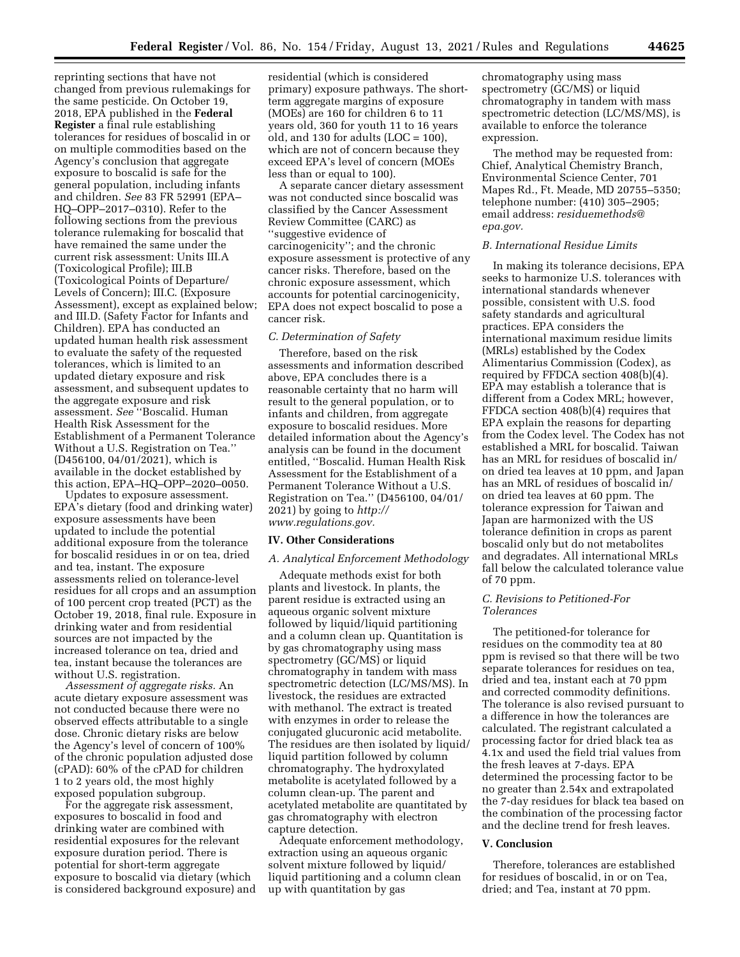reprinting sections that have not changed from previous rulemakings for the same pesticide. On October 19, 2018, EPA published in the **Federal Register** a final rule establishing tolerances for residues of boscalid in or on multiple commodities based on the Agency's conclusion that aggregate exposure to boscalid is safe for the general population, including infants and children. *See* 83 FR 52991 (EPA– HQ–OPP–2017–0310). Refer to the following sections from the previous tolerance rulemaking for boscalid that have remained the same under the current risk assessment: Units III.A (Toxicological Profile); III.B (Toxicological Points of Departure/ Levels of Concern); III.C. (Exposure Assessment), except as explained below; and III.D. (Safety Factor for Infants and Children). EPA has conducted an updated human health risk assessment to evaluate the safety of the requested tolerances, which is limited to an updated dietary exposure and risk assessment, and subsequent updates to the aggregate exposure and risk assessment. *See* ''Boscalid. Human Health Risk Assessment for the Establishment of a Permanent Tolerance Without a U.S. Registration on Tea.'' (D456100, 04/01/2021), which is available in the docket established by this action, EPA–HQ–OPP–2020–0050.

Updates to exposure assessment. EPA's dietary (food and drinking water) exposure assessments have been updated to include the potential additional exposure from the tolerance for boscalid residues in or on tea, dried and tea, instant. The exposure assessments relied on tolerance-level residues for all crops and an assumption of 100 percent crop treated (PCT) as the October 19, 2018, final rule. Exposure in drinking water and from residential sources are not impacted by the increased tolerance on tea, dried and tea, instant because the tolerances are without U.S. registration.

*Assessment of aggregate risks.* An acute dietary exposure assessment was not conducted because there were no observed effects attributable to a single dose. Chronic dietary risks are below the Agency's level of concern of 100% of the chronic population adjusted dose (cPAD): 60% of the cPAD for children 1 to 2 years old, the most highly exposed population subgroup.

For the aggregate risk assessment, exposures to boscalid in food and drinking water are combined with residential exposures for the relevant exposure duration period. There is potential for short-term aggregate exposure to boscalid via dietary (which is considered background exposure) and residential (which is considered primary) exposure pathways. The shortterm aggregate margins of exposure (MOEs) are 160 for children 6 to 11 years old, 360 for youth 11 to 16 years old, and  $130$  for adults (LOC =  $100$ ), which are not of concern because they exceed EPA's level of concern (MOEs less than or equal to 100).

A separate cancer dietary assessment was not conducted since boscalid was classified by the Cancer Assessment Review Committee (CARC) as ''suggestive evidence of carcinogenicity''; and the chronic exposure assessment is protective of any cancer risks. Therefore, based on the chronic exposure assessment, which accounts for potential carcinogenicity, EPA does not expect boscalid to pose a cancer risk.

# *C. Determination of Safety*

Therefore, based on the risk assessments and information described above, EPA concludes there is a reasonable certainty that no harm will result to the general population, or to infants and children, from aggregate exposure to boscalid residues. More detailed information about the Agency's analysis can be found in the document entitled, ''Boscalid. Human Health Risk Assessment for the Establishment of a Permanent Tolerance Without a U.S. Registration on Tea.'' (D456100, 04/01/ 2021) by going to *[http://](http://www.regulations.gov) [www.regulations.gov.](http://www.regulations.gov)* 

#### **IV. Other Considerations**

### *A. Analytical Enforcement Methodology*

Adequate methods exist for both plants and livestock. In plants, the parent residue is extracted using an aqueous organic solvent mixture followed by liquid/liquid partitioning and a column clean up. Quantitation is by gas chromatography using mass spectrometry (GC/MS) or liquid chromatography in tandem with mass spectrometric detection (LC/MS/MS). In livestock, the residues are extracted with methanol. The extract is treated with enzymes in order to release the conjugated glucuronic acid metabolite. The residues are then isolated by liquid/ liquid partition followed by column chromatography. The hydroxylated metabolite is acetylated followed by a column clean-up. The parent and acetylated metabolite are quantitated by gas chromatography with electron capture detection.

Adequate enforcement methodology, extraction using an aqueous organic solvent mixture followed by liquid/ liquid partitioning and a column clean up with quantitation by gas

chromatography using mass spectrometry (GC/MS) or liquid chromatography in tandem with mass spectrometric detection (LC/MS/MS), is available to enforce the tolerance expression.

The method may be requested from: Chief, Analytical Chemistry Branch, Environmental Science Center, 701 Mapes Rd., Ft. Meade, MD 20755–5350; telephone number: (410) 305–2905; email address: *[residuemethods@](mailto:residuemethods@epa.gov) [epa.gov.](mailto:residuemethods@epa.gov)* 

## *B. International Residue Limits*

In making its tolerance decisions, EPA seeks to harmonize U.S. tolerances with international standards whenever possible, consistent with U.S. food safety standards and agricultural practices. EPA considers the international maximum residue limits (MRLs) established by the Codex Alimentarius Commission (Codex), as required by FFDCA section 408(b)(4). EPA may establish a tolerance that is different from a Codex MRL; however, FFDCA section 408(b)(4) requires that EPA explain the reasons for departing from the Codex level. The Codex has not established a MRL for boscalid. Taiwan has an MRL for residues of boscalid in/ on dried tea leaves at 10 ppm, and Japan has an MRL of residues of boscalid in/ on dried tea leaves at 60 ppm. The tolerance expression for Taiwan and Japan are harmonized with the US tolerance definition in crops as parent boscalid only but do not metabolites and degradates. All international MRLs fall below the calculated tolerance value of 70 ppm.

#### *C. Revisions to Petitioned-For Tolerances*

The petitioned-for tolerance for residues on the commodity tea at 80 ppm is revised so that there will be two separate tolerances for residues on tea, dried and tea, instant each at 70 ppm and corrected commodity definitions. The tolerance is also revised pursuant to a difference in how the tolerances are calculated. The registrant calculated a processing factor for dried black tea as 4.1x and used the field trial values from the fresh leaves at 7-days. EPA determined the processing factor to be no greater than 2.54x and extrapolated the 7-day residues for black tea based on the combination of the processing factor and the decline trend for fresh leaves.

#### **V. Conclusion**

Therefore, tolerances are established for residues of boscalid, in or on Tea, dried; and Tea, instant at 70 ppm.